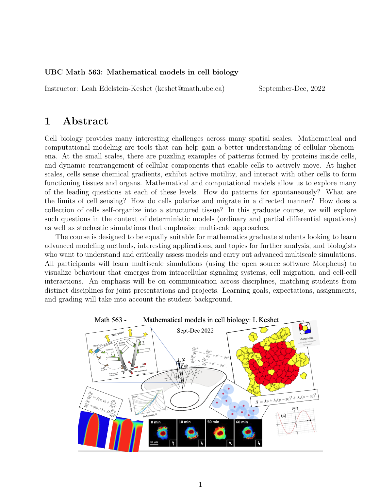#### UBC Math 563: Mathematical models in cell biology

Instructor: Leah Edelstein-Keshet (keshet@math.ubc.ca) September-Dec, 2022

## 1 Abstract

Cell biology provides many interesting challenges across many spatial scales. Mathematical and computational modeling are tools that can help gain a better understanding of cellular phenomena. At the small scales, there are puzzling examples of patterns formed by proteins inside cells, and dynamic rearrangement of cellular components that enable cells to actively move. At higher scales, cells sense chemical gradients, exhibit active motility, and interact with other cells to form functioning tissues and organs. Mathematical and computational models allow us to explore many of the leading questions at each of these levels. How do patterns for spontaneously? What are the limits of cell sensing? How do cells polarize and migrate in a directed manner? How does a collection of cells self-organize into a structured tissue? In this graduate course, we will explore such questions in the context of deterministic models (ordinary and partial differential equations) as well as stochastic simulations that emphasize multiscale approaches.

The course is designed to be equally suitable for mathematics graduate students looking to learn advanced modeling methods, interesting applications, and topics for further analysis, and biologists who want to understand and critically assess models and carry out advanced multiscale simulations. All participants will learn multiscale simulations (using the open source software Morpheus) to visualize behaviour that emerges from intracellular signaling systems, cell migration, and cell-cell interactions. An emphasis will be on communication across disciplines, matching students from distinct disciplines for joint presentations and projects. Learning goals, expectations, assignments, and grading will take into account the student background.

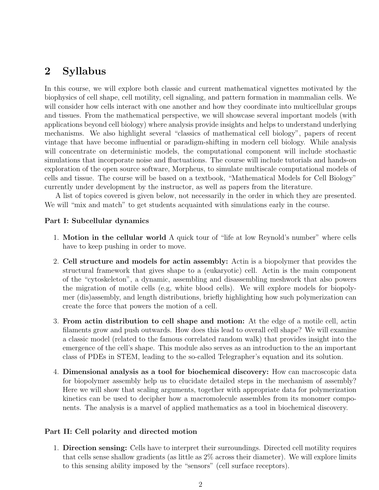## 2 Syllabus

In this course, we will explore both classic and current mathematical vignettes motivated by the biophysics of cell shape, cell motility, cell signaling, and pattern formation in mammalian cells. We will consider how cells interact with one another and how they coordinate into multicellular groups and tissues. From the mathematical perspective, we will showcase several important models (with applications beyond cell biology) where analysis provide insights and helps to understand underlying mechanisms. We also highlight several "classics of mathematical cell biology", papers of recent vintage that have become influential or paradigm-shifting in modern cell biology. While analysis will concentrate on deterministic models, the computational component will include stochastic simulations that incorporate noise and fluctuations. The course will include tutorials and hands-on exploration of the open source software, Morpheus, to simulate multiscale computational models of cells and tissue. The course will be based on a textbook, "Mathematical Models for Cell Biology" currently under development by the instructor, as well as papers from the literature.

A list of topics covered is given below, not necessarily in the order in which they are presented. We will "mix and match" to get students acquainted with simulations early in the course.

#### Part I: Subcellular dynamics

- 1. Motion in the cellular world A quick tour of "life at low Reynold's number" where cells have to keep pushing in order to move.
- 2. Cell structure and models for actin assembly: Actin is a biopolymer that provides the structural framework that gives shape to a (eukaryotic) cell. Actin is the main component of the "cytoskeleton", a dynamic, assembling and disassembling meshwork that also powers the migration of motile cells (e.g, white blood cells). We will explore models for biopolymer (dis)assembly, and length distributions, briefly highlighting how such polymerization can create the force that powers the motion of a cell.
- 3. From actin distribution to cell shape and motion: At the edge of a motile cell, actin filaments grow and push outwards. How does this lead to overall cell shape? We will examine a classic model (related to the famous correlated random walk) that provides insight into the emergence of the cell's shape. This module also serves as an introduction to the an important class of PDEs in STEM, leading to the so-called Telegrapher's equation and its solution.
- 4. Dimensional analysis as a tool for biochemical discovery: How can macroscopic data for biopolymer assembly help us to elucidate detailed steps in the mechanism of assembly? Here we will show that scaling arguments, together with appropriate data for polymerization kinetics can be used to decipher how a macromolecule assembles from its monomer components. The analysis is a marvel of applied mathematics as a tool in biochemical discovery.

#### Part II: Cell polarity and directed motion

1. Direction sensing: Cells have to interpret their surroundings. Directed cell motility requires that cells sense shallow gradients (as little as 2% across their diameter). We will explore limits to this sensing ability imposed by the "sensors" (cell surface receptors).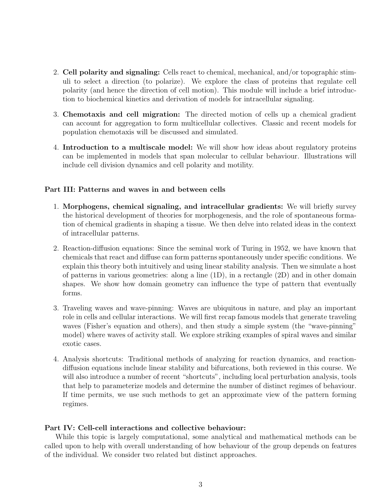- 2. Cell polarity and signaling: Cells react to chemical, mechanical, and/or topographic stimuli to select a direction (to polarize). We explore the class of proteins that regulate cell polarity (and hence the direction of cell motion). This module will include a brief introduction to biochemical kinetics and derivation of models for intracellular signaling.
- 3. Chemotaxis and cell migration: The directed motion of cells up a chemical gradient can account for aggregation to form multicellular collectives. Classic and recent models for population chemotaxis will be discussed and simulated.
- 4. Introduction to a multiscale model: We will show how ideas about regulatory proteins can be implemented in models that span molecular to cellular behaviour. Illustrations will include cell division dynamics and cell polarity and motility.

#### Part III: Patterns and waves in and between cells

- 1. Morphogens, chemical signaling, and intracellular gradients: We will briefly survey the historical development of theories for morphogenesis, and the role of spontaneous formation of chemical gradients in shaping a tissue. We then delve into related ideas in the context of intracellular patterns.
- 2. Reaction-diffusion equations: Since the seminal work of Turing in 1952, we have known that chemicals that react and diffuse can form patterns spontaneously under specific conditions. We explain this theory both intuitively and using linear stability analysis. Then we simulate a host of patterns in various geometries: along a line (1D), in a rectangle (2D) and in other domain shapes. We show how domain geometry can influence the type of pattern that eventually forms.
- 3. Traveling waves and wave-pinning: Waves are ubiquitous in nature, and play an important role in cells and cellular interactions. We will first recap famous models that generate traveling waves (Fisher's equation and others), and then study a simple system (the "wave-pinning" model) where waves of activity stall. We explore striking examples of spiral waves and similar exotic cases.
- 4. Analysis shortcuts: Traditional methods of analyzing for reaction dynamics, and reactiondiffusion equations include linear stability and bifurcations, both reviewed in this course. We will also introduce a number of recent "shortcuts", including local perturbation analysis, tools that help to parameterize models and determine the number of distinct regimes of behaviour. If time permits, we use such methods to get an approximate view of the pattern forming regimes.

#### Part IV: Cell-cell interactions and collective behaviour:

While this topic is largely computational, some analytical and mathematical methods can be called upon to help with overall understanding of how behaviour of the group depends on features of the individual. We consider two related but distinct approaches.